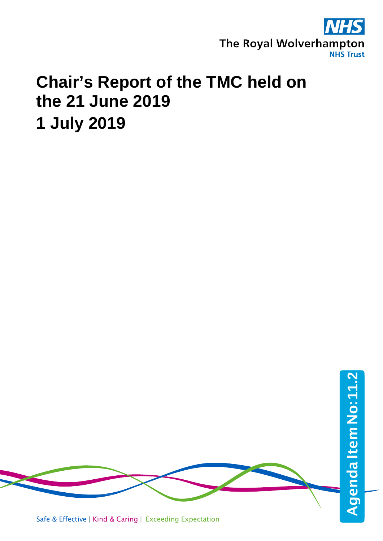

## **Chair's Report of the TMC held on the 21 June 2019 1 July 2019**

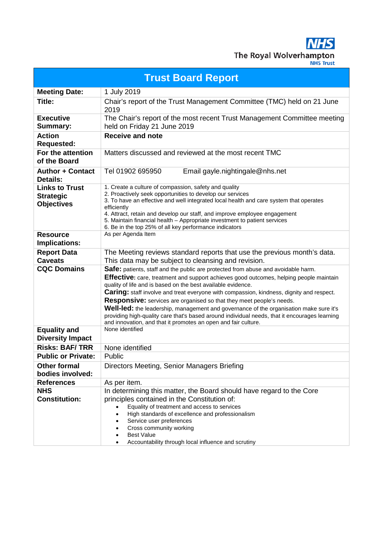**NHS** The Royal Wolverhampton

| <b>Trust Board Report</b>                                      |                                                                                                                                                                                                                                                                                                                                                                                                                                                                                                                                                                                                                                                                                            |  |
|----------------------------------------------------------------|--------------------------------------------------------------------------------------------------------------------------------------------------------------------------------------------------------------------------------------------------------------------------------------------------------------------------------------------------------------------------------------------------------------------------------------------------------------------------------------------------------------------------------------------------------------------------------------------------------------------------------------------------------------------------------------------|--|
| <b>Meeting Date:</b>                                           | 1 July 2019                                                                                                                                                                                                                                                                                                                                                                                                                                                                                                                                                                                                                                                                                |  |
| Title:                                                         | Chair's report of the Trust Management Committee (TMC) held on 21 June<br>2019                                                                                                                                                                                                                                                                                                                                                                                                                                                                                                                                                                                                             |  |
| <b>Executive</b><br><b>Summary:</b>                            | The Chair's report of the most recent Trust Management Committee meeting<br>held on Friday 21 June 2019                                                                                                                                                                                                                                                                                                                                                                                                                                                                                                                                                                                    |  |
| <b>Action</b><br><b>Requested:</b>                             | <b>Receive and note</b>                                                                                                                                                                                                                                                                                                                                                                                                                                                                                                                                                                                                                                                                    |  |
| For the attention<br>of the Board                              | Matters discussed and reviewed at the most recent TMC                                                                                                                                                                                                                                                                                                                                                                                                                                                                                                                                                                                                                                      |  |
| <b>Author + Contact</b><br><b>Details:</b>                     | Tel 01902 695950<br>Email gayle.nightingale@nhs.net                                                                                                                                                                                                                                                                                                                                                                                                                                                                                                                                                                                                                                        |  |
| <b>Links to Trust</b><br><b>Strategic</b><br><b>Objectives</b> | 1. Create a culture of compassion, safety and quality<br>2. Proactively seek opportunities to develop our services<br>3. To have an effective and well integrated local health and care system that operates<br>efficiently<br>4. Attract, retain and develop our staff, and improve employee engagement<br>5. Maintain financial health – Appropriate investment to patient services<br>6. Be in the top 25% of all key performance indicators                                                                                                                                                                                                                                            |  |
| <b>Resource</b><br>Implications:                               | As per Agenda Item                                                                                                                                                                                                                                                                                                                                                                                                                                                                                                                                                                                                                                                                         |  |
| <b>Report Data</b><br><b>Caveats</b>                           | The Meeting reviews standard reports that use the previous month's data.<br>This data may be subject to cleansing and revision.                                                                                                                                                                                                                                                                                                                                                                                                                                                                                                                                                            |  |
| <b>CQC Domains</b>                                             | Safe: patients, staff and the public are protected from abuse and avoidable harm.<br>Effective: care, treatment and support achieves good outcomes, helping people maintain<br>quality of life and is based on the best available evidence.<br><b>Caring:</b> staff involve and treat everyone with compassion, kindness, dignity and respect.<br><b>Responsive:</b> services are organised so that they meet people's needs.<br>Well-led: the leadership, management and governance of the organisation make sure it's<br>providing high-quality care that's based around individual needs, that it encourages learning<br>and innovation, and that it promotes an open and fair culture. |  |
| <b>Equality and</b><br><b>Diversity Impact</b>                 | None identified                                                                                                                                                                                                                                                                                                                                                                                                                                                                                                                                                                                                                                                                            |  |
| <b>Risks: BAF/TRR</b>                                          | None identified                                                                                                                                                                                                                                                                                                                                                                                                                                                                                                                                                                                                                                                                            |  |
| <b>Public or Private:</b>                                      | Public                                                                                                                                                                                                                                                                                                                                                                                                                                                                                                                                                                                                                                                                                     |  |
| <b>Other formal</b><br>bodies involved:                        | Directors Meeting, Senior Managers Briefing                                                                                                                                                                                                                                                                                                                                                                                                                                                                                                                                                                                                                                                |  |
| <b>References</b>                                              | As per item.                                                                                                                                                                                                                                                                                                                                                                                                                                                                                                                                                                                                                                                                               |  |
| <b>NHS</b><br><b>Constitution:</b>                             | In determining this matter, the Board should have regard to the Core<br>principles contained in the Constitution of:<br>Equality of treatment and access to services<br>High standards of excellence and professionalism<br>Service user preferences<br>Cross community working<br><b>Best Value</b>                                                                                                                                                                                                                                                                                                                                                                                       |  |
|                                                                | Accountability through local influence and scrutiny                                                                                                                                                                                                                                                                                                                                                                                                                                                                                                                                                                                                                                        |  |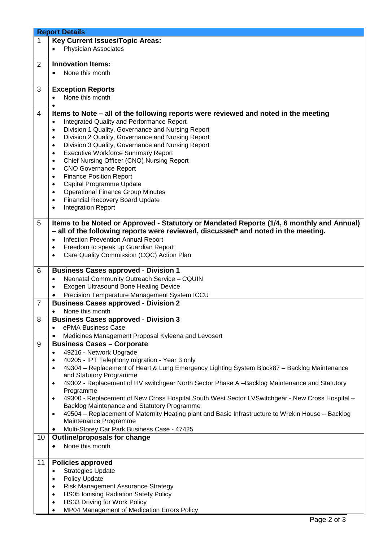|                | <b>Report Details</b>                                                                                          |  |  |
|----------------|----------------------------------------------------------------------------------------------------------------|--|--|
| 1              | <b>Key Current Issues/Topic Areas:</b>                                                                         |  |  |
|                | <b>Physician Associates</b><br>$\bullet$                                                                       |  |  |
|                |                                                                                                                |  |  |
| $\overline{2}$ | <b>Innovation Items:</b>                                                                                       |  |  |
|                | None this month<br>$\bullet$                                                                                   |  |  |
|                |                                                                                                                |  |  |
|                |                                                                                                                |  |  |
| 3              | <b>Exception Reports</b>                                                                                       |  |  |
|                | None this month<br>$\bullet$                                                                                   |  |  |
|                |                                                                                                                |  |  |
| 4              | Items to Note – all of the following reports were reviewed and noted in the meeting                            |  |  |
|                | Integrated Quality and Performance Report<br>$\bullet$                                                         |  |  |
|                | Division 1 Quality, Governance and Nursing Report<br>$\bullet$                                                 |  |  |
|                | Division 2 Quality, Governance and Nursing Report<br>$\bullet$                                                 |  |  |
|                | Division 3 Quality, Governance and Nursing Report<br>$\bullet$                                                 |  |  |
|                | <b>Executive Workforce Summary Report</b><br>$\bullet$                                                         |  |  |
|                | Chief Nursing Officer (CNO) Nursing Report<br>$\bullet$                                                        |  |  |
|                | <b>CNO Governance Report</b><br>$\bullet$                                                                      |  |  |
|                | <b>Finance Position Report</b><br>$\bullet$                                                                    |  |  |
|                | Capital Programme Update<br>$\bullet$                                                                          |  |  |
|                | <b>Operational Finance Group Minutes</b><br>$\bullet$                                                          |  |  |
|                | <b>Financial Recovery Board Update</b><br>$\bullet$                                                            |  |  |
|                | <b>Integration Report</b><br>$\bullet$                                                                         |  |  |
|                |                                                                                                                |  |  |
| 5              | Items to be Noted or Approved - Statutory or Mandated Reports (1/4, 6 monthly and Annual)                      |  |  |
|                | - all of the following reports were reviewed, discussed* and noted in the meeting.                             |  |  |
|                | <b>Infection Prevention Annual Report</b><br>$\bullet$                                                         |  |  |
|                | Freedom to speak up Guardian Report                                                                            |  |  |
|                | Care Quality Commission (CQC) Action Plan<br>$\bullet$                                                         |  |  |
|                |                                                                                                                |  |  |
| 6              | <b>Business Cases approved - Division 1</b>                                                                    |  |  |
|                | Neonatal Community Outreach Service - CQUIN<br>$\bullet$                                                       |  |  |
|                | Exogen Ultrasound Bone Healing Device                                                                          |  |  |
|                |                                                                                                                |  |  |
|                | Precision Temperature Management System ICCU                                                                   |  |  |
| $\overline{7}$ | <b>Business Cases approved - Division 2</b>                                                                    |  |  |
|                | None this month<br>$\bullet$                                                                                   |  |  |
| 8              | <b>Business Cases approved - Division 3</b>                                                                    |  |  |
|                | ePMA Business Case                                                                                             |  |  |
|                | Medicines Management Proposal Kyleena and Levosert                                                             |  |  |
| 9              | <b>Business Cases - Corporate</b>                                                                              |  |  |
|                | 49216 - Network Upgrade                                                                                        |  |  |
|                | 40205 - IPT Telephony migration - Year 3 only<br>٠                                                             |  |  |
|                | 49304 - Replacement of Heart & Lung Emergency Lighting System Block87 - Backlog Maintenance                    |  |  |
|                | and Statutory Programme                                                                                        |  |  |
|                | 49302 - Replacement of HV switchgear North Sector Phase A -Backlog Maintenance and Statutory<br>$\bullet$      |  |  |
|                | Programme                                                                                                      |  |  |
|                | 49300 - Replacement of New Cross Hospital South West Sector LVSwitchgear - New Cross Hospital -                |  |  |
|                | Backlog Maintenance and Statutory Programme                                                                    |  |  |
|                | 49504 - Replacement of Maternity Heating plant and Basic Infrastructure to Wrekin House - Backlog<br>$\bullet$ |  |  |
|                | Maintenance Programme                                                                                          |  |  |
|                | Multi-Storey Car Park Business Case - 47425<br>٠                                                               |  |  |
| 10             | <b>Outline/proposals for change</b>                                                                            |  |  |
|                | None this month<br>$\bullet$                                                                                   |  |  |
|                |                                                                                                                |  |  |
| 11             | <b>Policies approved</b>                                                                                       |  |  |
|                |                                                                                                                |  |  |
|                | <b>Strategies Update</b><br>$\bullet$                                                                          |  |  |
|                | Policy Update<br>$\bullet$                                                                                     |  |  |
|                | Risk Management Assurance Strategy<br>$\bullet$                                                                |  |  |
|                | HS05 Ionising Radiation Safety Policy<br>$\bullet$                                                             |  |  |
|                | HS33 Driving for Work Policy<br>$\bullet$                                                                      |  |  |
|                | MP04 Management of Medication Errors Policy<br>$\bullet$                                                       |  |  |